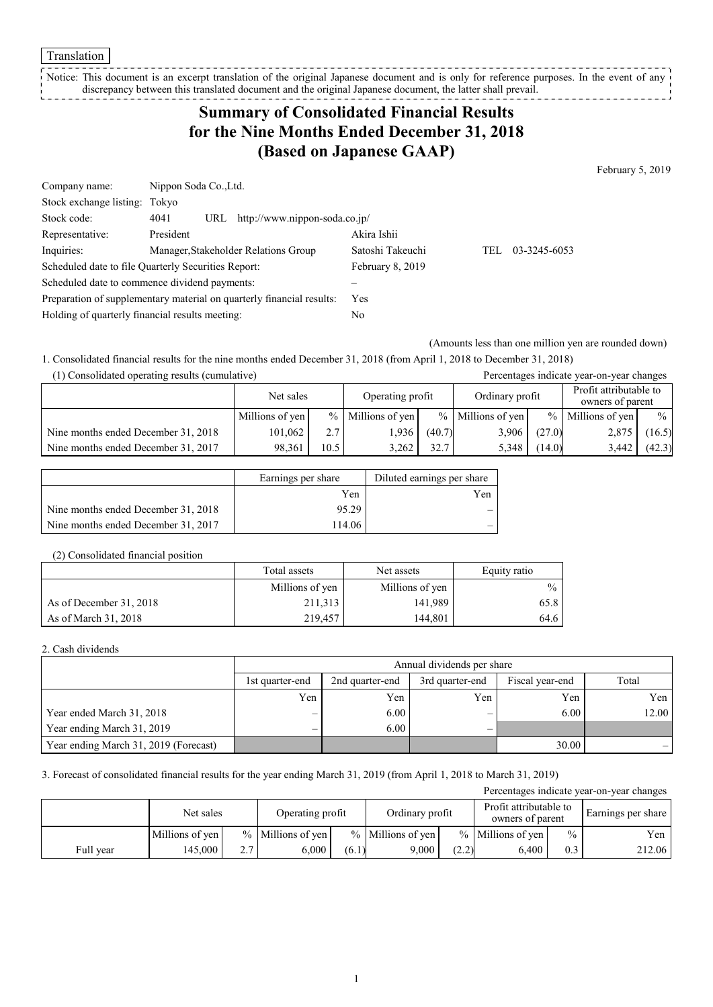Translation

Notice: This document is an excerpt translation of the original Japanese document and is only for reference purposes. In the event of any discrepancy between this translated document and the original Japanese document, the latter shall prevail. 

## **Summary of Consolidated Financial Results for the Nine Months Ended December 31, 2018 (Based on Japanese GAAP)**

February 5, 2019

| Company name:                                                         |           | Nippon Soda Co., Ltd.                |                                      |                  |      |              |  |
|-----------------------------------------------------------------------|-----------|--------------------------------------|--------------------------------------|------------------|------|--------------|--|
| Stock exchange listing: Tokyo                                         |           |                                      |                                      |                  |      |              |  |
| Stock code:                                                           | 4041      | http://www.nippon-soda.co.jp/<br>URL |                                      |                  |      |              |  |
| Representative:                                                       | President |                                      |                                      | Akira Ishii      |      |              |  |
| Inquiries:                                                            |           |                                      | Manager, Stakeholder Relations Group | Satoshi Takeuchi | TEL. | 03-3245-6053 |  |
| Scheduled date to file Quarterly Securities Report:                   |           | February 8, 2019                     |                                      |                  |      |              |  |
| Scheduled date to commence dividend payments:                         |           |                                      |                                      |                  |      |              |  |
| Preparation of supplementary material on quarterly financial results: |           | <b>Yes</b>                           |                                      |                  |      |              |  |
| Holding of quarterly financial results meeting:                       |           |                                      | No                                   |                  |      |              |  |

(Amounts less than one million yen are rounded down)

1. Consolidated financial results for the nine months ended December 31, 2018 (from April 1, 2018 to December 31, 2018) (1) Consolidated operating results (cumulative) Percentages indicate year-on-year changes

| $\alpha$ ) Consondated operating results (cumulative) |                               |               |                 |                 |                     |                                            | I creentages mureate year-on-year enanges |               |
|-------------------------------------------------------|-------------------------------|---------------|-----------------|-----------------|---------------------|--------------------------------------------|-------------------------------------------|---------------|
|                                                       | Operating profit<br>Net sales |               |                 | Ordinary profit |                     | Profit attributable to<br>owners of parent |                                           |               |
|                                                       | Millions of yen               | $\frac{0}{0}$ | Millions of yen |                 | $%$ Millions of yen |                                            | $\%$ Millions of yen                      | $\frac{0}{0}$ |
| Nine months ended December 31, 2018                   | 101.062                       | 2.7           | 1.936           | (40.7)          | 3,906               | (27.0)                                     | 2,875                                     | (16.5)        |
| Nine months ended December 31, 2017                   | 98.361                        | 10.5          | 3.262           | 32.7            | 5.348               | (14.0)                                     | 3,442                                     | (42.3)        |

|                                     | Earnings per share | Diluted earnings per share |
|-------------------------------------|--------------------|----------------------------|
|                                     | Yen                | Yen                        |
| Nine months ended December 31, 2018 | 95.29              |                            |
| Nine months ended December 31, 2017 | 114.06             |                            |

#### (2) Consolidated financial position

|                         | Total assets    | Net assets      |               |
|-------------------------|-----------------|-----------------|---------------|
|                         | Millions of yen | Millions of yen | $\frac{0}{0}$ |
| As of December 31, 2018 | 211,313         | 141,989         | 65.8          |
| As of March 31, 2018    | 219.457         | 144.801         | 64.6          |

#### 2. Cash dividends

|                                       |                 | Annual dividends per share                            |     |       |       |  |  |  |
|---------------------------------------|-----------------|-------------------------------------------------------|-----|-------|-------|--|--|--|
|                                       | 1st quarter-end | 2nd quarter-end<br>3rd quarter-end<br>Fiscal year-end |     |       |       |  |  |  |
|                                       | Yen             | Yen                                                   | Yen | Yen   | Yen   |  |  |  |
| Year ended March 31, 2018             |                 | 6.00                                                  |     | 6.00  | 12.00 |  |  |  |
| Year ending March 31, 2019            |                 | 6.00                                                  | -   |       |       |  |  |  |
| Year ending March 31, 2019 (Forecast) |                 |                                                       |     | 30.00 |       |  |  |  |

#### 3. Forecast of consolidated financial results for the year ending March 31, 2019 (from April 1, 2018 to March 31, 2019)

| Percentages indicate year-on-year changes |                 |     |                     |       |                     |       |                                            |               |                    |
|-------------------------------------------|-----------------|-----|---------------------|-------|---------------------|-------|--------------------------------------------|---------------|--------------------|
|                                           | Net sales       |     | Operating profit    |       | Ordinary profit     |       | Profit attributable to<br>owners of parent |               | Earnings per share |
|                                           | Millions of yen |     | $%$ Millions of yen |       | $%$ Millions of yen |       | $%$ Millions of yen                        | $\frac{0}{0}$ | Yen                |
| Full year                                 | 145.000         | 2.7 | 6.000               | (6.1) | 9.000               | (2.2) | 6,400                                      | 0.3           | 212.06             |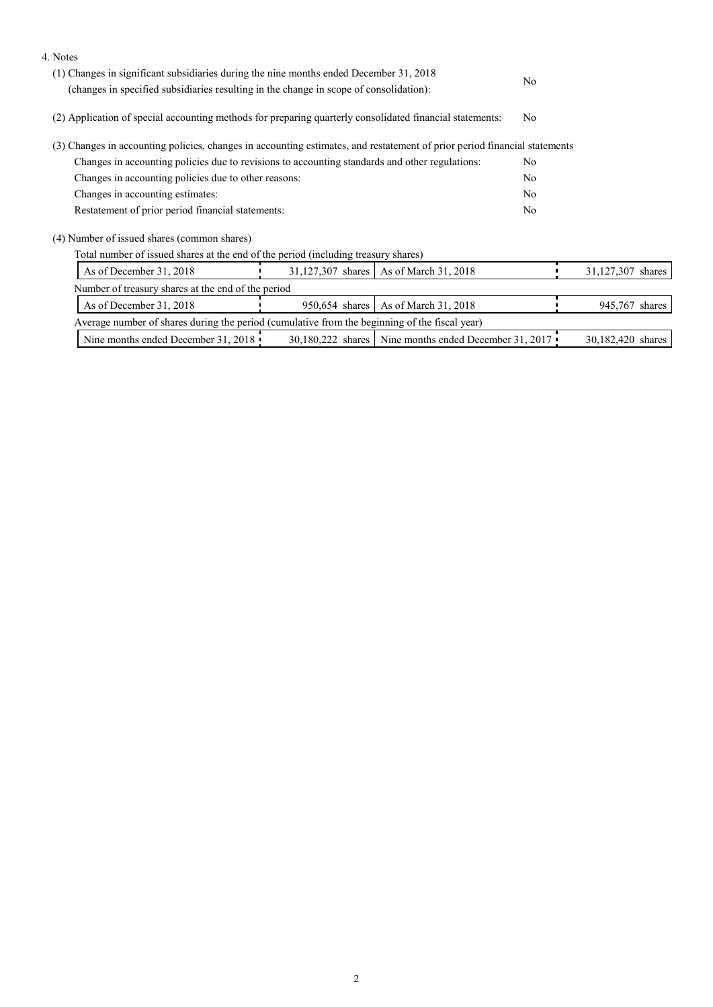| 4. Notes                                                                                                                  |                   |                                                       |    |                   |
|---------------------------------------------------------------------------------------------------------------------------|-------------------|-------------------------------------------------------|----|-------------------|
| (1) Changes in significant subsidiaries during the nine months ended December 31, 2018                                    |                   | N <sub>0</sub>                                        |    |                   |
| (changes in specified subsidiaries resulting in the change in scope of consolidation):                                    |                   |                                                       |    |                   |
| (2) Application of special accounting methods for preparing quarterly consolidated financial statements:                  |                   | N <sub>0</sub>                                        |    |                   |
| (3) Changes in accounting policies, changes in accounting estimates, and restatement of prior period financial statements |                   |                                                       |    |                   |
| Changes in accounting policies due to revisions to accounting standards and other regulations:                            |                   |                                                       |    |                   |
| Changes in accounting policies due to other reasons:                                                                      |                   |                                                       |    |                   |
| Changes in accounting estimates:                                                                                          |                   |                                                       |    |                   |
| Restatement of prior period financial statements:                                                                         |                   |                                                       | No |                   |
| (4) Number of issued shares (common shares)                                                                               |                   |                                                       |    |                   |
| Total number of issued shares at the end of the period (including treasury shares)                                        |                   |                                                       |    |                   |
| As of December 31, 2018                                                                                                   | 31,127,307 shares | As of March 31, 2018                                  |    | 31,127,307 shares |
| Number of treasury shares at the end of the period                                                                        |                   |                                                       |    |                   |
| As of December 31, 2018                                                                                                   | 950,654 shares    | As of March 31, 2018                                  |    | 945,767 shares    |
| Average number of shares during the period (cumulative from the beginning of the fiscal year)                             |                   |                                                       |    |                   |
| Nine months ended December 31, 2018                                                                                       |                   | 30,180,222 shares Nine months ended December 31, 2017 |    | 30,182,420 shares |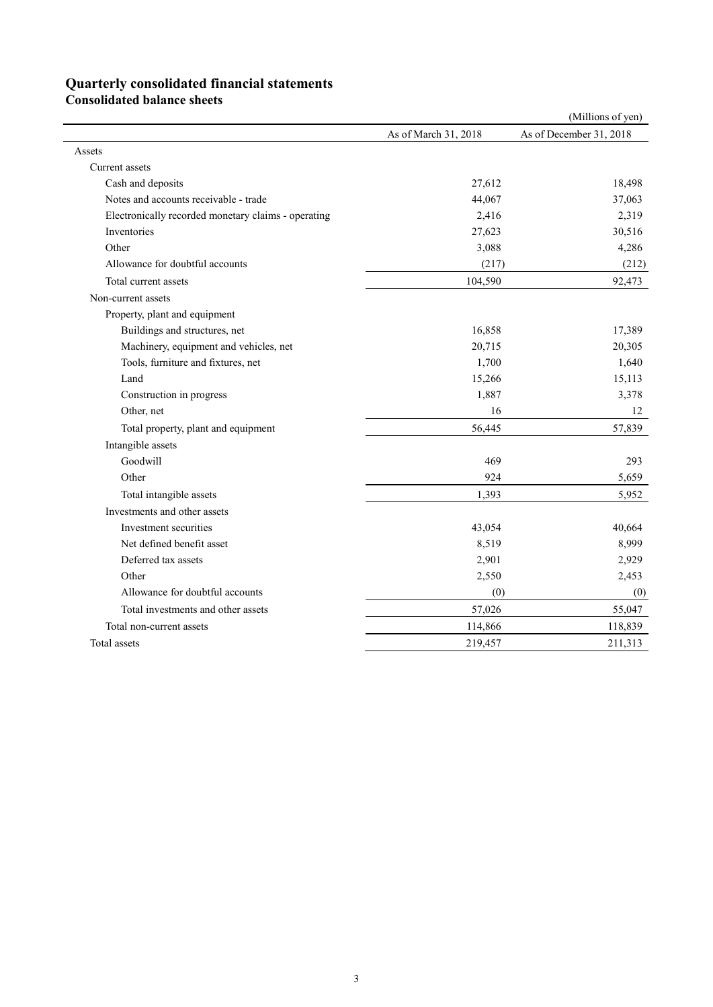# **Quarterly consolidated financial statements**

**Consolidated balance sheets** 

|                                                     |                      | (Millions of yen)       |
|-----------------------------------------------------|----------------------|-------------------------|
|                                                     | As of March 31, 2018 | As of December 31, 2018 |
| Assets                                              |                      |                         |
| Current assets                                      |                      |                         |
| Cash and deposits                                   | 27,612               | 18,498                  |
| Notes and accounts receivable - trade               | 44,067               | 37,063                  |
| Electronically recorded monetary claims - operating | 2,416                | 2,319                   |
| Inventories                                         | 27,623               | 30,516                  |
| Other                                               | 3,088                | 4,286                   |
| Allowance for doubtful accounts                     | (217)                | (212)                   |
| Total current assets                                | 104,590              | 92,473                  |
| Non-current assets                                  |                      |                         |
| Property, plant and equipment                       |                      |                         |
| Buildings and structures, net                       | 16,858               | 17,389                  |
| Machinery, equipment and vehicles, net              | 20,715               | 20,305                  |
| Tools, furniture and fixtures, net                  | 1,700                | 1,640                   |
| Land                                                | 15,266               | 15,113                  |
| Construction in progress                            | 1,887                | 3,378                   |
| Other, net                                          | 16                   | 12                      |
| Total property, plant and equipment                 | 56,445               | 57,839                  |
| Intangible assets                                   |                      |                         |
| Goodwill                                            | 469                  | 293                     |
| Other                                               | 924                  | 5,659                   |
| Total intangible assets                             | 1,393                | 5,952                   |
| Investments and other assets                        |                      |                         |
| Investment securities                               | 43,054               | 40,664                  |
| Net defined benefit asset                           | 8,519                | 8,999                   |
| Deferred tax assets                                 | 2,901                | 2,929                   |
| Other                                               | 2,550                | 2,453                   |
| Allowance for doubtful accounts                     | (0)                  | (0)                     |
| Total investments and other assets                  | 57,026               | 55,047                  |
| Total non-current assets                            | 114,866              | 118,839                 |
| Total assets                                        | 219,457              | 211,313                 |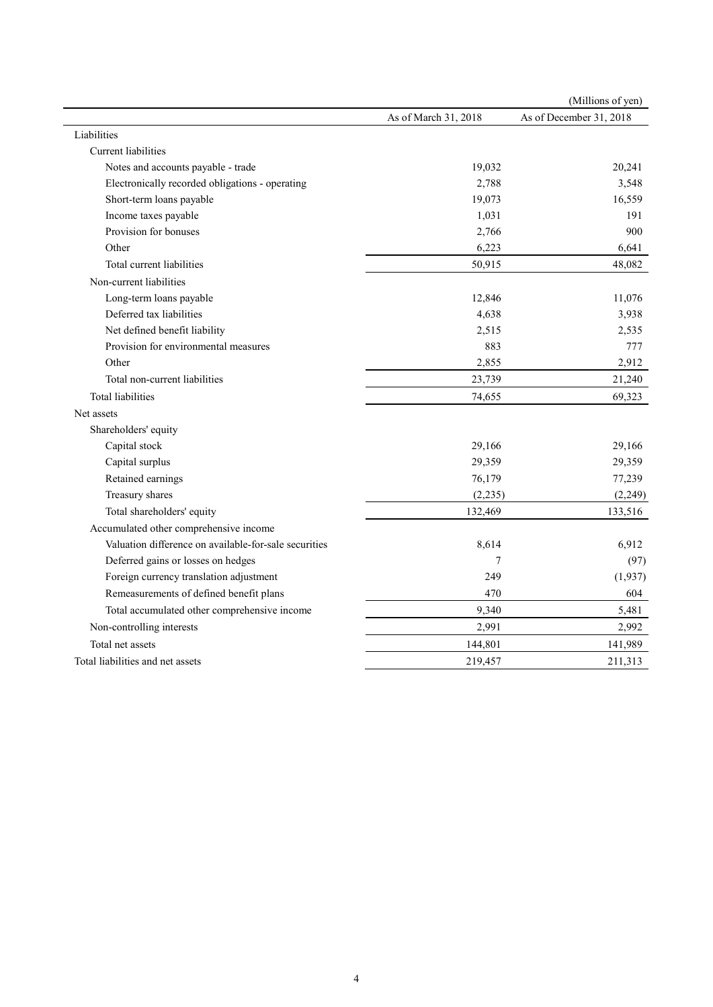|                                                       |                      | (Millions of yen)       |
|-------------------------------------------------------|----------------------|-------------------------|
|                                                       | As of March 31, 2018 | As of December 31, 2018 |
| Liabilities                                           |                      |                         |
| Current liabilities                                   |                      |                         |
| Notes and accounts payable - trade                    | 19,032               | 20,241                  |
| Electronically recorded obligations - operating       | 2,788                | 3,548                   |
| Short-term loans payable                              | 19,073               | 16,559                  |
| Income taxes payable                                  | 1,031                | 191                     |
| Provision for bonuses                                 | 2,766                | 900                     |
| Other                                                 | 6,223                | 6,641                   |
| Total current liabilities                             | 50,915               | 48,082                  |
| Non-current liabilities                               |                      |                         |
| Long-term loans payable                               | 12,846               | 11,076                  |
| Deferred tax liabilities                              | 4,638                | 3,938                   |
| Net defined benefit liability                         | 2,515                | 2,535                   |
| Provision for environmental measures                  | 883                  | 777                     |
| Other                                                 | 2,855                | 2,912                   |
| Total non-current liabilities                         | 23,739               | 21,240                  |
| <b>Total liabilities</b>                              | 74,655               | 69,323                  |
| Net assets                                            |                      |                         |
| Shareholders' equity                                  |                      |                         |
| Capital stock                                         | 29,166               | 29,166                  |
| Capital surplus                                       | 29,359               | 29,359                  |
| Retained earnings                                     | 76,179               | 77,239                  |
| Treasury shares                                       | (2, 235)             | (2, 249)                |
| Total shareholders' equity                            | 132,469              | 133,516                 |
| Accumulated other comprehensive income                |                      |                         |
| Valuation difference on available-for-sale securities | 8,614                | 6,912                   |
| Deferred gains or losses on hedges                    | 7                    | (97)                    |
| Foreign currency translation adjustment               | 249                  | (1, 937)                |
| Remeasurements of defined benefit plans               | 470                  | 604                     |
| Total accumulated other comprehensive income          | 9,340                | 5,481                   |
| Non-controlling interests                             | 2,991                | 2,992                   |
| Total net assets                                      | 144,801              | 141,989                 |
| Total liabilities and net assets                      | 219,457              | 211,313                 |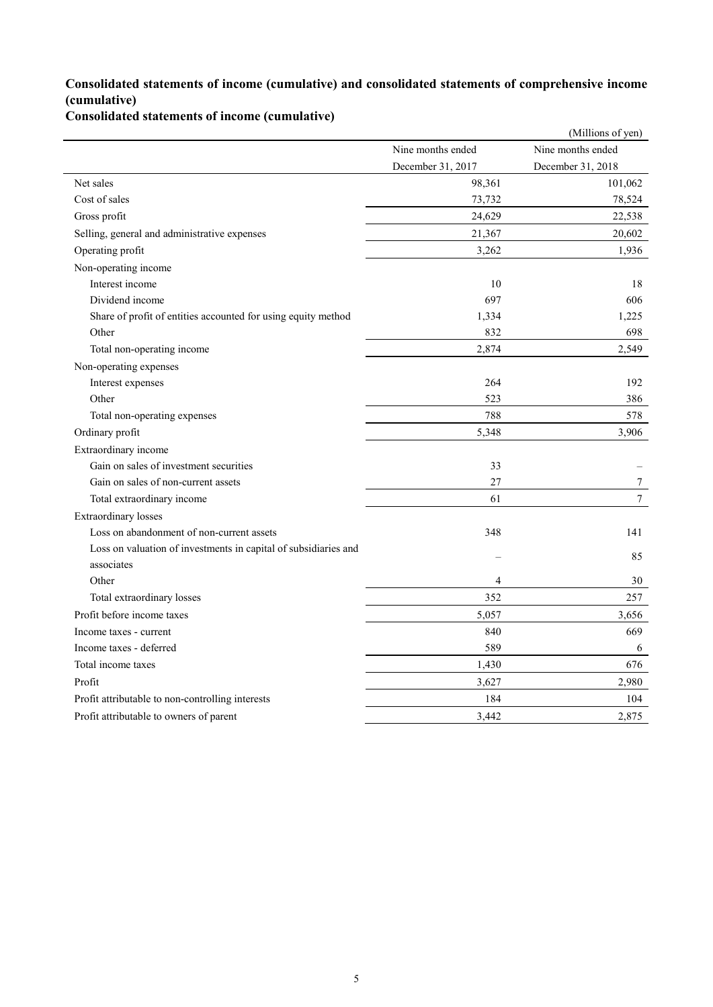### **Consolidated statements of income (cumulative) and consolidated statements of comprehensive income (cumulative)**

**Consolidated statements of income (cumulative)**

|                                                                 |                   | (Millions of yen) |
|-----------------------------------------------------------------|-------------------|-------------------|
|                                                                 | Nine months ended | Nine months ended |
|                                                                 | December 31, 2017 | December 31, 2018 |
| Net sales                                                       | 98,361            | 101,062           |
| Cost of sales                                                   | 73,732            | 78,524            |
| Gross profit                                                    | 24,629            | 22,538            |
| Selling, general and administrative expenses                    | 21,367            | 20,602            |
| Operating profit                                                | 3,262             | 1,936             |
| Non-operating income                                            |                   |                   |
| Interest income                                                 | 10                | 18                |
| Dividend income                                                 | 697               | 606               |
| Share of profit of entities accounted for using equity method   | 1,334             | 1,225             |
| Other                                                           | 832               | 698               |
| Total non-operating income                                      | 2,874             | 2,549             |
| Non-operating expenses                                          |                   |                   |
| Interest expenses                                               | 264               | 192               |
| Other                                                           | 523               | 386               |
| Total non-operating expenses                                    | 788               | 578               |
| Ordinary profit                                                 | 5,348             | 3,906             |
| Extraordinary income                                            |                   |                   |
| Gain on sales of investment securities                          | 33                |                   |
| Gain on sales of non-current assets                             | 27                | 7                 |
| Total extraordinary income                                      | 61                | $\overline{7}$    |
| <b>Extraordinary losses</b>                                     |                   |                   |
| Loss on abandonment of non-current assets                       | 348               | 141               |
| Loss on valuation of investments in capital of subsidiaries and |                   | 85                |
| associates                                                      |                   |                   |
| Other                                                           | $\overline{4}$    | 30                |
| Total extraordinary losses                                      | 352               | 257               |
| Profit before income taxes                                      | 5,057             | 3,656             |
| Income taxes - current                                          | 840               | 669               |
| Income taxes - deferred                                         | 589               | 6                 |
| Total income taxes                                              | 1,430             | 676               |
| Profit                                                          | 3,627             | 2,980             |
| Profit attributable to non-controlling interests                | 184               | 104               |
| Profit attributable to owners of parent                         | 3,442             | 2,875             |